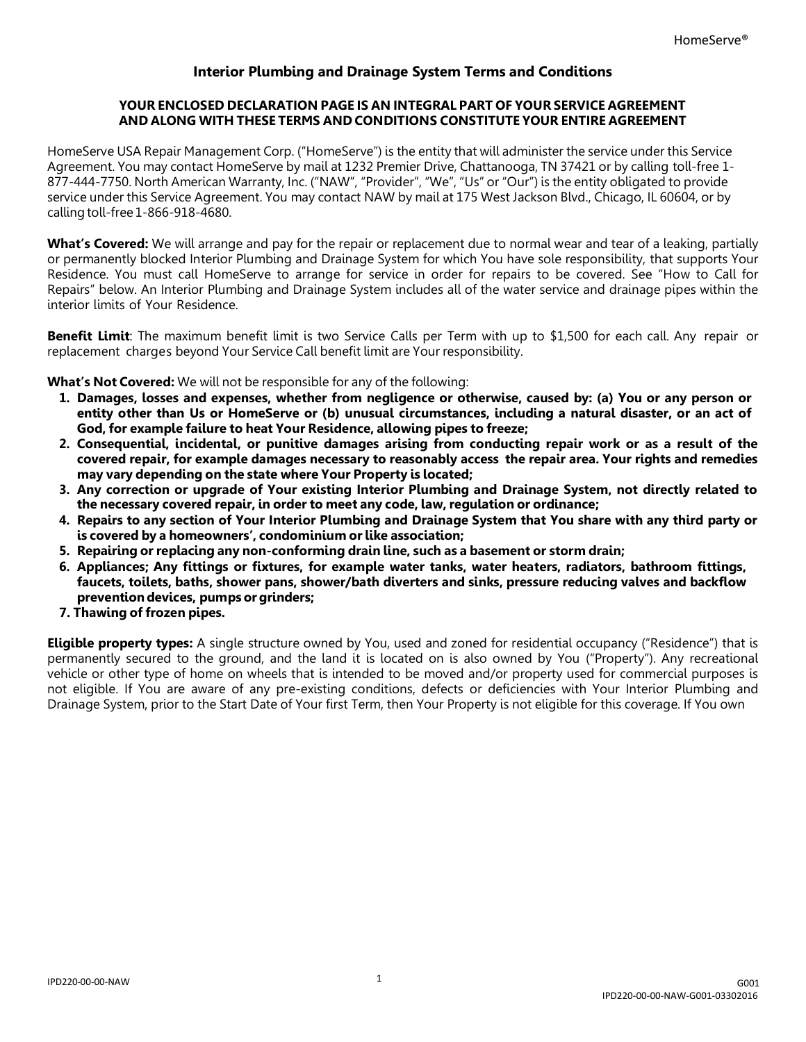# **Interior Plumbing and Drainage System Terms and Conditions**

## **YOUR ENCLOSED DECLARATION PAGE IS AN INTEGRAL PART OF YOUR SERVICE AGREEMENT AND ALONG WITH THESE TERMS AND CONDITIONS CONSTITUTE YOUR ENTIRE AGREEMENT**

HomeServe USA Repair Management Corp. ("HomeServe") is the entity that will administer the service under this Service Agreement. You may contact HomeServe by mail at 1232 Premier Drive, Chattanooga, TN 37421 or by calling toll-free 1- 877-444-7750. North American Warranty, Inc. ("NAW", "Provider", "We", "Us" or "Our") is the entity obligated to provide service under this Service Agreement. You may contact NAW by mail at 175 West Jackson Blvd., Chicago, IL 60604, or by calling toll-free 1-866-918-4680.

**What's Covered:** We will arrange and pay for the repair or replacement due to normal wear and tear of a leaking, partially or permanently blocked Interior Plumbing and Drainage System for which You have sole responsibility, that supports Your Residence. You must call HomeServe to arrange for service in order for repairs to be covered. See "How to Call for Repairs" below. An Interior Plumbing and Drainage System includes all of the water service and drainage pipes within the interior limits of Your Residence.

**Benefit Limit**: The maximum benefit limit is two Service Calls per Term with up to \$1,500 for each call. Any repair or replacement charges beyond Your Service Call benefit limit are Your responsibility.

**What's Not Covered:** We will not be responsible for any of the following:

- **1. Damages, losses and expenses, whether from negligence or otherwise, caused by: (a) You or any person or entity other than Us or HomeServe or (b) unusual circumstances, including a natural disaster, or an act of God, for example failure to heat Your Residence, allowing pipes to freeze;**
- **2. Consequential, incidental, or punitive damages arising from conducting repair work or as a result of the covered repair, for example damages necessary to reasonably access the repair area. Your rights and remedies may vary depending on the state where Your Property is located;**
- **3. Any correction or upgrade of Your existing Interior Plumbing and Drainage System, not directly related to the necessary covered repair, in order to meet any code, law, regulation or ordinance;**
- **4. Repairs to any section of Your Interior Plumbing and Drainage System that You share with any third party or is covered by a homeowners', condominium or like association;**
- **5. Repairing or replacing any non-conforming drain line, such as a basement or storm drain;**
- **6. Appliances; Any fittings or fixtures, for example water tanks, water heaters, radiators, bathroom fittings, faucets, toilets, baths, shower pans, shower/bath diverters and sinks, pressure reducing valves and backflow prevention devices, pumps or grinders;**
- **7. Thawing of frozen pipes.**

**Eligible property types:** A single structure owned by You, used and zoned for residential occupancy ("Residence") that is permanently secured to the ground, and the land it is located on is also owned by You ("Property"). Any recreational vehicle or other type of home on wheels that is intended to be moved and/or property used for commercial purposes is not eligible. If You are aware of any pre-existing conditions, defects or deficiencies with Your Interior Plumbing and Drainage System, prior to the Start Date of Your first Term, then Your Property is not eligible for this coverage. If You own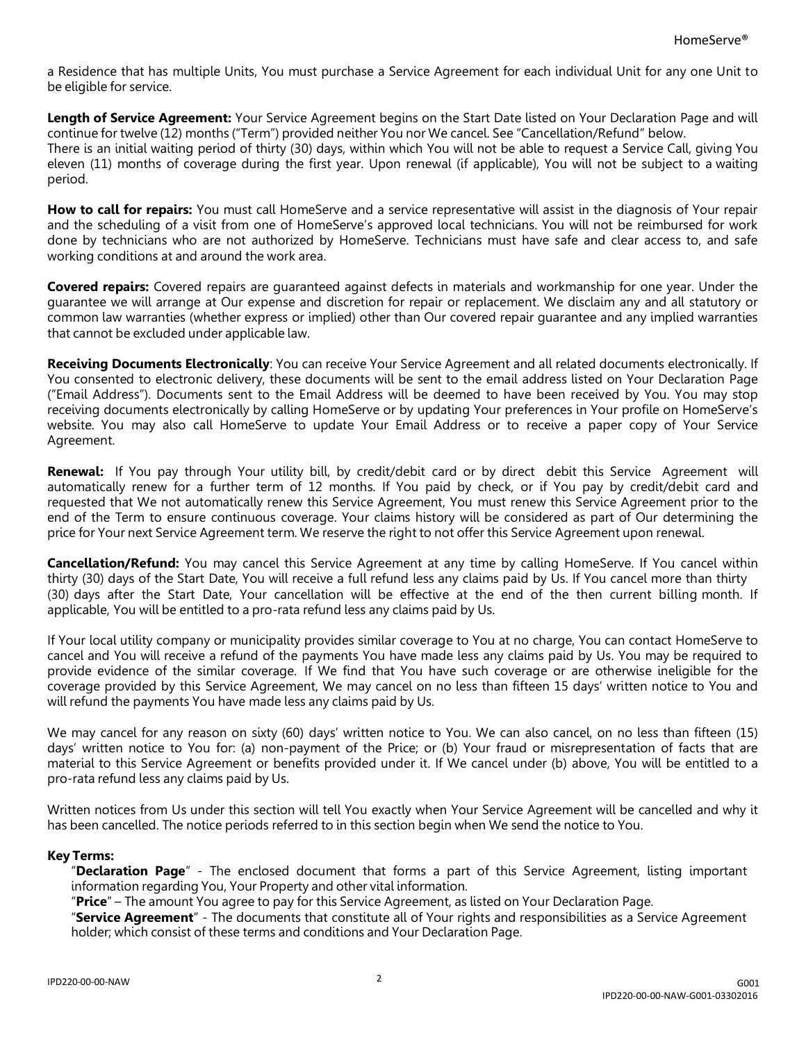a Residence that has multiple Units, You must purchase a Service Agreement for each individual Unit for any one Unit to be eligible for service.

**Length of Service Agreement:** Your Service Agreement begins on the Start Date listed on Your Declaration Page and will continue for twelve (12) months ("Term") provided neither You nor We cancel. See "Cancellation/Refund" below. There is an initial waiting period of thirty (30) days, within which You will not be able to request a Service Call, giving You eleven (11) months of coverage during the first year. Upon renewal (if applicable), You will not be subject to a waiting period.

How to call for repairs: You must call HomeServe and a service representative will assist in the diagnosis of Your repair and the scheduling of a visit from one of HomeServe's approved local technicians. You will not be reimbursed for work done by technicians who are not authorized by HomeServe. Technicians must have safe and clear access to, and safe working conditions at and around the work area.

**Covered repairs:** Covered repairs are guaranteed against defects in materials and workmanship for one year. Under the guarantee we will arrange at Our expense and discretion for repair or replacement. We disclaim any and all statutory or common law warranties (whether express or implied) other than Our covered repair guarantee and any implied warranties that cannot be excluded under applicable law.

**Receiving Documents Electronically**: You can receive Your Service Agreement and all related documents electronically. If You consented to electronic delivery, these documents will be sent to the email address listed on Your Declaration Page ("Email Address"). Documents sent to the Email Address will be deemed to have been received by You. You may stop receiving documents electronically by calling HomeServe or by updating Your preferences in Your profile on HomeServe's website. You may also call HomeServe to update Your Email Address or to receive a paper copy of Your Service Agreement.

**Renewal:** If You pay through Your utility bill, by credit/debit card or by direct debit this Service Agreement will automatically renew for a further term of 12 months. If You paid by check, or if You pay by credit/debit card and requested that We not automatically renew this Service Agreement, You must renew this Service Agreement prior to the end of the Term to ensure continuous coverage. Your claims history will be considered as part of Our determining the price for Your next Service Agreement term. We reserve the right to not offer this Service Agreement upon renewal.

**Cancellation/Refund:** You may cancel this Service Agreement at any time by calling HomeServe. If You cancel within thirty (30) days of the Start Date, You will receive a full refund less any claims paid by Us. If You cancel more than thirty (30) days after the Start Date, Your cancellation will be effective at the end of the then current billing month. If applicable, You will be entitled to a pro-rata refund less any claims paid by Us.

If Your local utility company or municipality provides similar coverage to You at no charge, You can contact HomeServe to cancel and You will receive a refund of the payments You have made less any claims paid by Us. You may be required to provide evidence of the similar coverage. If We find that You have such coverage or are otherwise ineligible for the coverage provided by this Service Agreement, We may cancel on no less than fifteen 15 days' written notice to You and will refund the payments You have made less any claims paid by Us.

We may cancel for any reason on sixty (60) days' written notice to You. We can also cancel, on no less than fifteen (15) days' written notice to You for: (a) non-payment of the Price; or (b) Your fraud or misrepresentation of facts that are material to this Service Agreement or benefits provided under it. If We cancel under (b) above, You will be entitled to a pro-rata refund less any claims paid by Us.

Written notices from Us under this section will tell You exactly when Your Service Agreement will be cancelled and why it has been cancelled. The notice periods referred to in this section begin when We send the notice to You.

## **Key Terms:**

"**Declaration Page**" - The enclosed document that forms a part of this Service Agreement, listing important information regarding You, Your Property and other vital information.

"**Price**" – The amount You agree to pay for this Service Agreement, as listed on Your Declaration Page.

"**Service Agreement**" - The documents that constitute all of Your rights and responsibilities as a Service Agreement holder; which consist of these terms and conditions and Your Declaration Page.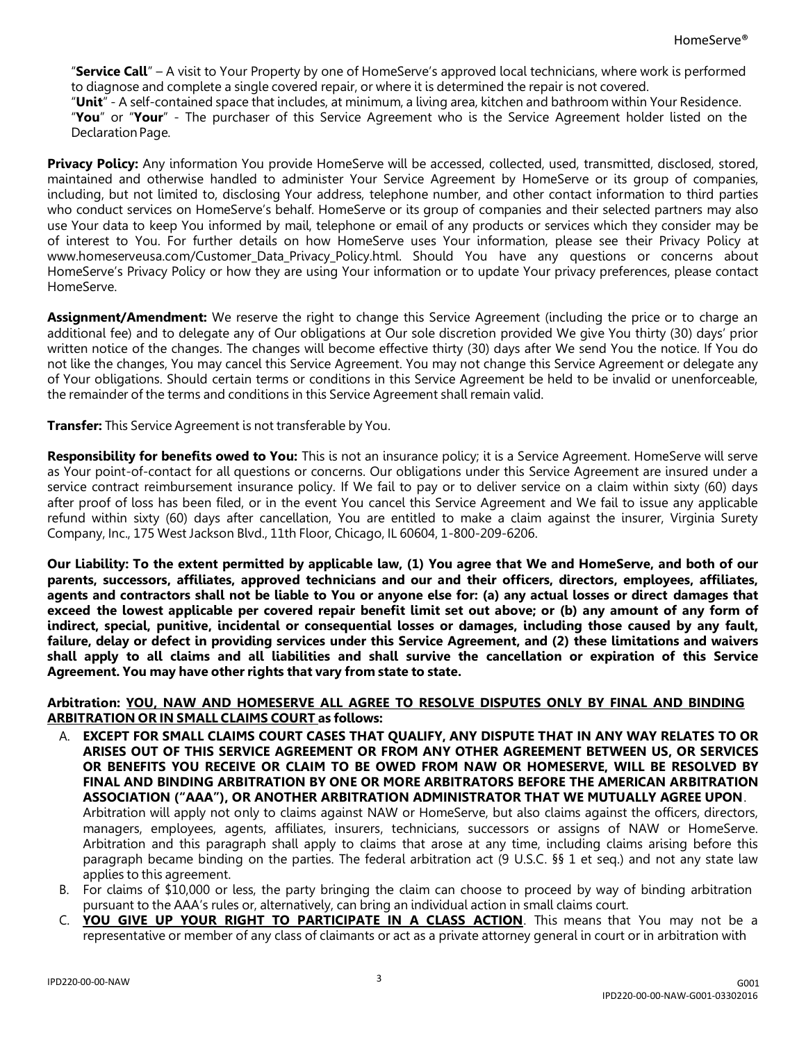"**Service Call**" – A visit to Your Property by one of HomeServe's approved local technicians, where work is performed to diagnose and complete a single covered repair, or where it is determined the repair is not covered.

"**Unit**" - A self-contained space that includes, at minimum, a living area, kitchen and bathroom within Your Residence.

"**You**" or "**Your**" - The purchaser of this Service Agreement who is the Service Agreement holder listed on the Declaration Page.

**Privacy Policy:** Any information You provide HomeServe will be accessed, collected, used, transmitted, disclosed, stored, maintained and otherwise handled to administer Your Service Agreement by HomeServe or its group of companies, including, but not limited to, disclosing Your address, telephone number, and other contact information to third parties who conduct services on HomeServe's behalf. HomeServe or its group of companies and their selected partners may also use Your data to keep You informed by mail, telephone or email of any products or services which they consider may be of interest to You. For further details on how HomeServe uses Your information, please see their Privacy Policy at www.homeserveusa.com/Customer Data Privacy Policy.html. Should You have any questions or concerns about HomeServe's Privacy Policy or how they are using Your information or to update Your privacy preferences, please contact HomeServe.

**Assignment/Amendment:** We reserve the right to change this Service Agreement (including the price or to charge an additional fee) and to delegate any of Our obligations at Our sole discretion provided We give You thirty (30) days' prior written notice of the changes. The changes will become effective thirty (30) days after We send You the notice. If You do not like the changes, You may cancel this Service Agreement. You may not change this Service Agreement or delegate any of Your obligations. Should certain terms or conditions in this Service Agreement be held to be invalid or unenforceable, the remainder of the terms and conditions in this Service Agreement shall remain valid.

**Transfer:** This Service Agreement is not transferable by You.

**Responsibility for benefits owed to You:** This is not an insurance policy; it is a Service Agreement. HomeServe will serve as Your point-of-contact for all questions or concerns. Our obligations under this Service Agreement are insured under a service contract reimbursement insurance policy. If We fail to pay or to deliver service on a claim within sixty (60) days after proof of loss has been filed, or in the event You cancel this Service Agreement and We fail to issue any applicable refund within sixty (60) days after cancellation, You are entitled to make a claim against the insurer, Virginia Surety Company, Inc., 175 West Jackson Blvd., 11th Floor, Chicago, IL 60604, 1-800-209-6206.

**Our Liability: To the extent permitted by applicable law, (1) You agree that We and HomeServe, and both of our parents, successors, affiliates, approved technicians and our and their officers, directors, employees, affiliates, agents and contractors shall not be liable to You or anyone else for: (a) any actual losses or direct damages that exceed the lowest applicable per covered repair benefit limit set out above; or (b) any amount of any form of indirect, special, punitive, incidental or consequential losses or damages, including those caused by any fault, failure, delay or defect in providing services under this Service Agreement, and (2) these limitations and waivers shall apply to all claims and all liabilities and shall survive the cancellation or expiration of this Service Agreement. You may have other rights that vary from state to state.**

### **Arbitration: YOU, NAW AND HOMESERVE ALL AGREE TO RESOLVE DISPUTES ONLY BY FINAL AND BINDING ARBITRATION OR IN SMALL CLAIMS COURT as follows:**

- A. **EXCEPT FOR SMALL CLAIMS COURT CASES THAT QUALIFY, ANY DISPUTE THAT IN ANY WAY RELATES TO OR ARISES OUT OF THIS SERVICE AGREEMENT OR FROM ANY OTHER AGREEMENT BETWEEN US, OR SERVICES OR BENEFITS YOU RECEIVE OR CLAIM TO BE OWED FROM NAW OR HOMESERVE, WILL BE RESOLVED BY FINAL AND BINDING ARBITRATION BY ONE OR MORE ARBITRATORS BEFORE THE AMERICAN ARBITRATION ASSOCIATION ("AAA"), OR ANOTHER ARBITRATION ADMINISTRATOR THAT WE MUTUALLY AGREE UPON**. Arbitration will apply not only to claims against NAW or HomeServe, but also claims against the officers, directors, managers, employees, agents, affiliates, insurers, technicians, successors or assigns of NAW or HomeServe. Arbitration and this paragraph shall apply to claims that arose at any time, including claims arising before this paragraph became binding on the parties. The federal arbitration act (9 U.S.C. §§ 1 et seq.) and not any state law applies to this agreement.
- B. For claims of \$10,000 or less, the party bringing the claim can choose to proceed by way of binding arbitration pursuant to the AAA's rules or, alternatively, can bring an individual action in small claims court.
- C. **YOU GIVE UP YOUR RIGHT TO PARTICIPATE IN A CLASS ACTION**. This means that You may not be a representative or member of any class of claimants or act as a private attorney general in court or in arbitration with